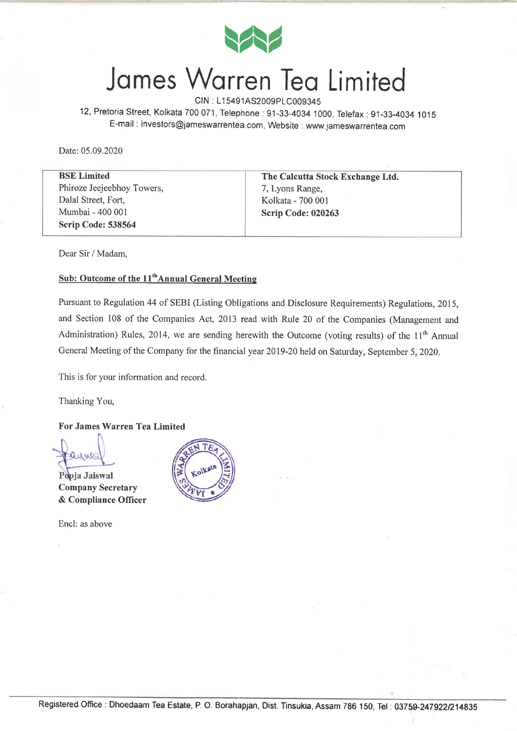

## James Warren Tea Limited

CIN : L1 5491AS2009p1C009345

12, Pretoria Street, Kolkata 700071, Telephone:91-33-4034 1000, Telefax:91-33-4034 1O1S E-mail : investors@jameswarrentea. com, Website : www. iameswarrentea. com

Date: 05.09.2020

| <b>BSE</b> Limited         | The Calcutta Stock Exchange Ltd. |
|----------------------------|----------------------------------|
| Phiroze Jeejeebhoy Towers, | 7, Lyons Range,                  |
| Dalal Street, Fort,        | Kolkata - 700 001                |
| Mumbai - 400 001           | Scrip Code: 020263               |
| Scrip Code: 538564         |                                  |

Dear Sir / Madam,

#### Sub: Outcome of the 11<sup>th</sup>Annual General Meeting

Pursuant to Regulation 44 of SEBI (Listing Obligations and Disclosure Requirements) Regulations,2Ol5, and Section 108 of the Companies Act, 2013 read with Rule 20 of the Companies (Management and Administration) Rules, 2014, we are sending herewith the Outcome (voting results) of the  $11<sup>th</sup>$  Annual General Meeting of the Company for the financial year 2079-20 held on Saturday, September 5,2020.

This is for your information and record.

Thanking You,

#### For James Warren Tea Limited

Pooja Jaiswal Company Secretary & Compliance Officer

Encl: as above

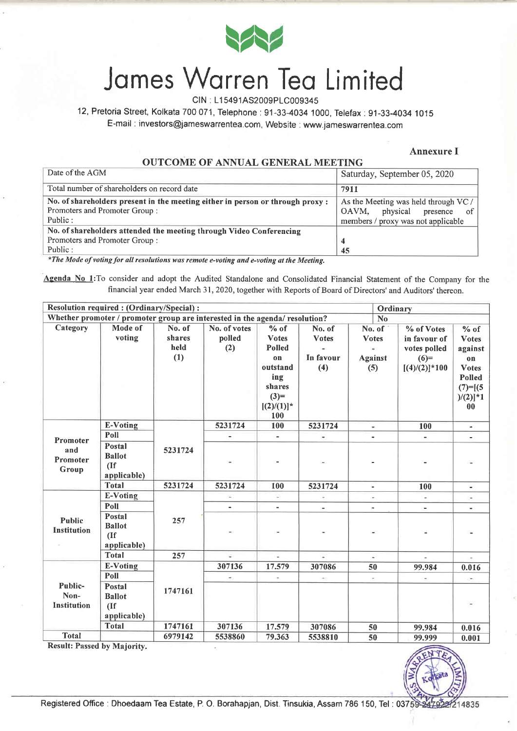

## James Warren Tea Limited

CIN : L1 5491AS2009P1C009345

12, Pretoria Street, Kolkata 700071, Telephone:91-33-4034 1000, Telefax:91-33-4034 1015

E-mail : investors@jameswarrentea.com, Website : www.jameswarrentea.com

#### Annexure I

#### OUTCOME OF ANNUAL GENERAL MEETING

| Date of the AGM                                                                | Saturday, September 05, 2020         |
|--------------------------------------------------------------------------------|--------------------------------------|
| Total number of shareholders on record date                                    | 7911                                 |
| No. of shareholders present in the meeting either in person or through proxy : | As the Meeting was held through VC / |
| Promoters and Promoter Group:                                                  | physical<br>OAVM.<br>presence<br>.of |
| Public:                                                                        | members / proxy was not applicable   |
| No. of shareholders attended the meeting through Video Conferencing            |                                      |
| Promoters and Promoter Group:                                                  |                                      |
| Public:                                                                        | 45                                   |

\*The Mode of voting for all resolutions was remote e-voting and e-voting at the Meeting.

Agenda No 1: To consider and adopt the Audited Standalone and Consolidated Financial Statement of the Company for the financial year ended March 31, 2020, together with Reports of Board of Directors' and Auditors' thereon.

| Resolution required : (Ordinary/Special) :<br>Ordinary |                                                                                               |         |                          |                |                          |                          |                          |                          |  |  |
|--------------------------------------------------------|-----------------------------------------------------------------------------------------------|---------|--------------------------|----------------|--------------------------|--------------------------|--------------------------|--------------------------|--|--|
|                                                        | Whether promoter / promoter group are interested in the agenda/ resolution?<br>N <sub>o</sub> |         |                          |                |                          |                          |                          |                          |  |  |
| Category                                               | Mode of                                                                                       | No. of  | No. of votes             | % of           | No. of                   | No. of                   | % of Votes               | $%$ of                   |  |  |
|                                                        | voting                                                                                        | shares  | polled                   | <b>Votes</b>   | <b>Votes</b>             | <b>Votes</b>             | in favour of             | <b>Votes</b>             |  |  |
|                                                        |                                                                                               | held    | (2)                      | Polled         |                          |                          | votes polled             | against                  |  |  |
|                                                        |                                                                                               | (1)     |                          | on             | In favour                | <b>Against</b>           | $(6)=$                   | $\mathbf{0}$             |  |  |
|                                                        |                                                                                               |         |                          | outstand       | (4)                      | (5)                      | $[(4)/(2)]*100$          | <b>Votes</b>             |  |  |
|                                                        |                                                                                               |         |                          | ing            |                          |                          |                          | <b>Polled</b>            |  |  |
|                                                        |                                                                                               |         |                          | shares         |                          |                          |                          | $(7)=[(5$                |  |  |
|                                                        |                                                                                               |         |                          | $(3)=$         |                          |                          |                          | $)/(2)]$ *1              |  |  |
|                                                        |                                                                                               |         |                          | $[(2)/(1)]^*$  |                          |                          |                          | 00                       |  |  |
|                                                        |                                                                                               |         |                          | 100            |                          |                          |                          |                          |  |  |
|                                                        | <b>E-Voting</b>                                                                               |         | 5231724                  | 100            | 5231724                  | ۰                        | 100                      | $\blacksquare$           |  |  |
| Promoter                                               | Poll                                                                                          |         | $\blacksquare$           | $\blacksquare$ | $\overline{\phantom{a}}$ | $\blacksquare$           | $\overline{\phantom{a}}$ | ٠                        |  |  |
| and                                                    | Postal                                                                                        | 5231724 |                          |                |                          |                          |                          |                          |  |  |
| Promoter<br>Group                                      | <b>Ballot</b>                                                                                 |         |                          |                |                          |                          |                          |                          |  |  |
|                                                        | (If)                                                                                          |         |                          |                |                          |                          |                          |                          |  |  |
|                                                        | applicable)                                                                                   |         |                          |                |                          |                          |                          |                          |  |  |
|                                                        | <b>Total</b>                                                                                  | 5231724 | 5231724                  | 100            | 5231724                  | $\overline{\phantom{a}}$ | 100                      | $\overline{\phantom{a}}$ |  |  |
|                                                        | E-Voting                                                                                      |         | ¥                        | $\sim$         | ÷                        | ۰,                       | $\overline{\phantom{a}}$ |                          |  |  |
|                                                        | Poll                                                                                          |         |                          |                |                          |                          | ٠                        |                          |  |  |
| Public                                                 | Postal                                                                                        | 257     |                          |                |                          |                          |                          |                          |  |  |
| <b>Institution</b>                                     | <b>Ballot</b>                                                                                 |         |                          |                |                          |                          |                          |                          |  |  |
|                                                        | (If)                                                                                          |         |                          |                |                          |                          |                          |                          |  |  |
|                                                        | applicable)                                                                                   |         |                          |                |                          |                          |                          |                          |  |  |
|                                                        | <b>Total</b>                                                                                  | 257     | Φ                        | W.             | Ξ                        | $\Rightarrow$            |                          |                          |  |  |
|                                                        | <b>E-Voting</b>                                                                               |         | 307136                   | 17.579         | 307086                   | 50                       | 99.984                   | 0.016                    |  |  |
|                                                        | Poll                                                                                          |         | $\overline{\phantom{a}}$ | ÷.             |                          | $\sim$                   |                          | $\blacksquare$           |  |  |
| Public-                                                | <b>Postal</b>                                                                                 | 1747161 |                          |                |                          |                          |                          |                          |  |  |
| Non-                                                   | <b>Ballot</b>                                                                                 |         |                          |                |                          |                          |                          |                          |  |  |
| Institution                                            | (If)                                                                                          |         |                          |                |                          |                          |                          | $\overline{\phantom{m}}$ |  |  |
|                                                        | applicable)                                                                                   |         |                          |                |                          |                          |                          |                          |  |  |
|                                                        | <b>Total</b>                                                                                  | 1747161 | 307136                   | 17.579         | 307086                   | 50                       | 99.984                   | 0.016                    |  |  |
| <b>Total</b><br>$D = -14$ . $D =$                      | $-111$ No. 1 1                                                                                | 6979142 | 5538860                  | 79.363         | 5538810                  | 50                       | 99.999                   | 0.001                    |  |  |

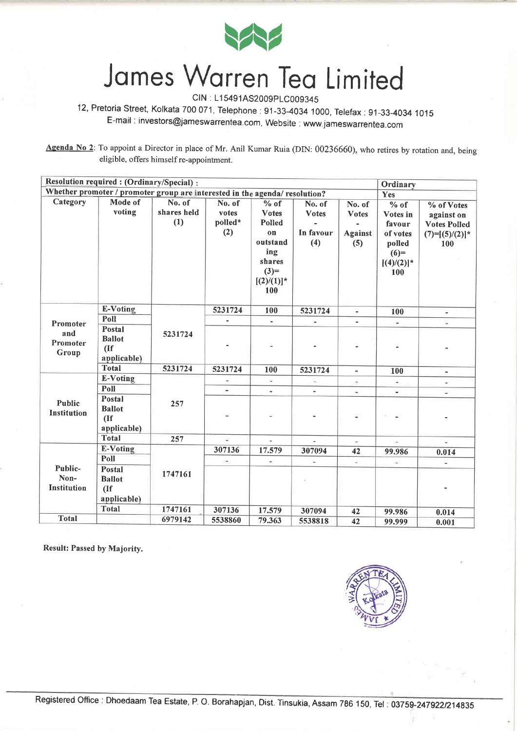

CIN : L15491AS2009PLC009345

12, Pretoria Street, Kolkata 7OO071, Telephone:91-33-4034 1000, Telefax:91-33-4034 <sup>1015</sup> E-mail : investors@jameswarrentea.com, Website : www.jameswarrentea.com

Agenda No 2: To appoint a Director in place of Mr. Anil Kumar Ruia (DIN: 00236660), who retires by rotation and, being eligible, offers himself re-appointment.

| Resolution required : (Ordinary/Special) :<br>Ordinary                      |                                                         |                              |                                   |                                                                                                       |                                            |                                                 |                                                                                    |                                                                            |
|-----------------------------------------------------------------------------|---------------------------------------------------------|------------------------------|-----------------------------------|-------------------------------------------------------------------------------------------------------|--------------------------------------------|-------------------------------------------------|------------------------------------------------------------------------------------|----------------------------------------------------------------------------|
| Whether promoter / promoter group are interested in the agenda/ resolution? | Yes                                                     |                              |                                   |                                                                                                       |                                            |                                                 |                                                                                    |                                                                            |
| Category                                                                    | Mode of<br>voting                                       | No. of<br>shares held<br>(1) | No. of<br>votes<br>polled*<br>(2) | $%$ of<br><b>Votes</b><br>Polled<br>on<br>outstand<br>ing<br>shares<br>$(3)=$<br>$[(2)/(1)]^*$<br>100 | No. of<br><b>Votes</b><br>In favour<br>(4) | No. of<br><b>Votes</b><br><b>Against</b><br>(5) | % of<br>Votes in<br>favour<br>of votes<br>polled<br>$(6)=$<br>$[(4)/(2)]$ *<br>100 | % of Votes<br>against on<br><b>Votes Polled</b><br>$(7)=[(5)/(2)]*$<br>100 |
|                                                                             | <b>E-Voting</b>                                         |                              | 5231724                           | 100                                                                                                   | 5231724                                    | $\blacksquare$                                  | 100                                                                                |                                                                            |
| Promoter                                                                    | Poll                                                    |                              |                                   |                                                                                                       | ÷                                          |                                                 | $\blacksquare$                                                                     | $\blacksquare$                                                             |
| and<br>Promoter<br>Group                                                    | <b>Postal</b><br><b>Ballot</b><br>(If)<br>applicable)   | 5231724                      |                                   |                                                                                                       |                                            |                                                 |                                                                                    |                                                                            |
|                                                                             | <b>Total</b>                                            | 5231724                      | 5231724                           | 100                                                                                                   | 5231724                                    | $\blacksquare$                                  | 100                                                                                | $\blacksquare$                                                             |
|                                                                             | E-Voting                                                |                              | $\overline{\phantom{a}}$          | ÷.                                                                                                    |                                            |                                                 | $\omega$                                                                           | S.                                                                         |
|                                                                             | Poll                                                    |                              |                                   | $\blacksquare$                                                                                        |                                            | $\blacksquare$                                  | $\sim$                                                                             | ¥                                                                          |
| <b>Public</b><br>Institution                                                | Postal<br><b>Ballot</b><br>(If)<br>applicable)          | 257                          |                                   |                                                                                                       |                                            | $\blacksquare$                                  |                                                                                    |                                                                            |
|                                                                             | <b>Total</b>                                            | 257                          |                                   | $\sim$                                                                                                | $\overline{\phantom{a}}$                   | $\sim$                                          | u.                                                                                 | ÷.                                                                         |
|                                                                             | E-Voting                                                |                              | 307136                            | 17.579                                                                                                | 307094                                     | 42                                              | 99.986                                                                             | 0.014                                                                      |
|                                                                             | Poll                                                    |                              |                                   |                                                                                                       | $\overline{\phantom{a}}$                   | $\sim$                                          | $\overline{\phantom{a}}$                                                           |                                                                            |
| Public-<br>Non-<br><b>Institution</b>                                       | <b>Postal</b><br><b>Ballot</b><br>$($ If<br>applicable) | 1747161                      |                                   |                                                                                                       |                                            |                                                 |                                                                                    |                                                                            |
|                                                                             | <b>Total</b>                                            | 1747161                      | 307136                            | 17.579                                                                                                | 307094                                     | 42                                              | 99.986                                                                             | 0.014                                                                      |
| <b>Total</b>                                                                |                                                         | 6979142                      | 5538860                           | 79.363                                                                                                | 5538818                                    | 42                                              | 99.999                                                                             | 0.001                                                                      |

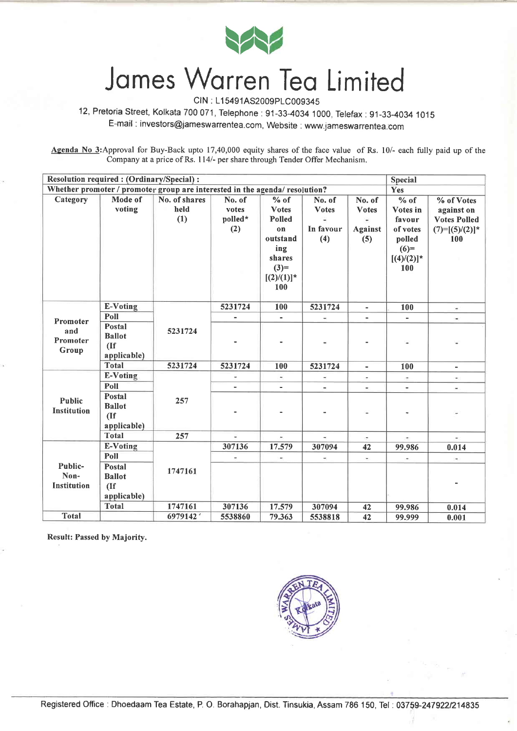

CIN : L1 5491AS2009P1C009345

12, Pretoria Street, Kolkata 700071, Telephone:91-33-4034 1000, Telefax:91-33-4034 <sup>1015</sup> E-mail : investors@jameswarrentea.com, Website : www.jameswarrentea.com

Agenda No 3: Approval for Buy-Back upto 17,40,000 equity shares of the face value of Rs. 10/- each fully paid up of the Company at a price of Rs. I l4l- per share through Tender Offer Mechanism.

| Resolution required : (Ordinary/Special) :<br><b>Special</b> |                                                                             |               |         |                          |                          |                          |               |                     |
|--------------------------------------------------------------|-----------------------------------------------------------------------------|---------------|---------|--------------------------|--------------------------|--------------------------|---------------|---------------------|
|                                                              | Whether promoter / promoter group are interested in the agenda/ resolution? |               |         |                          |                          |                          |               |                     |
| Category                                                     | Mode of                                                                     | No. of shares | No. of  | % of                     | No. of                   | No. of                   | $%$ of        | % of Votes          |
|                                                              | voting                                                                      | held          | votes   | <b>Votes</b>             | <b>Votes</b>             | <b>Votes</b>             | Votes in      | against on          |
|                                                              |                                                                             | (1)           | polled* | Polled                   |                          |                          | favour        | <b>Votes Polled</b> |
|                                                              |                                                                             |               | (2)     | 0 <sub>n</sub>           | In favour                | <b>Against</b>           | of votes      | $(7)=[(5)/(2)]^*$   |
|                                                              |                                                                             |               |         | outstand                 | (4)                      | (5)                      | polled        | 100                 |
|                                                              |                                                                             |               |         | ing                      |                          |                          | $(6)=$        |                     |
|                                                              |                                                                             |               |         | shares                   |                          |                          | $[(4)/(2)]$ * |                     |
|                                                              |                                                                             |               |         | $(3)=$                   |                          |                          | 100           |                     |
|                                                              |                                                                             |               |         | $[(2)/(1)]^*$            |                          |                          |               |                     |
|                                                              |                                                                             |               |         | 100                      |                          |                          |               |                     |
|                                                              | <b>E-Voting</b>                                                             |               | 5231724 | 100                      | 5231724                  | $\sim$                   | 100           | $\Rightarrow$       |
|                                                              | Poll                                                                        |               |         | $\blacksquare$           |                          |                          |               | $\mathbf{u}$        |
| Promoter                                                     | <b>Postal</b>                                                               |               |         |                          |                          |                          |               |                     |
| and                                                          | <b>Ballot</b>                                                               | 5231724       |         |                          |                          |                          |               |                     |
| Promoter                                                     | (If)                                                                        |               |         |                          |                          |                          |               |                     |
| Group                                                        | applicable)                                                                 |               |         |                          |                          |                          |               |                     |
|                                                              | <b>Total</b>                                                                | 5231724       | 5231724 | 100                      | 5231724                  | $\blacksquare$           | 100           | $\blacksquare$      |
|                                                              | E-Voting                                                                    |               | Ξ       | $\overline{\phantom{a}}$ |                          | $\overline{\phantom{a}}$ | -             |                     |
|                                                              | Poll                                                                        |               |         |                          | $\blacksquare$           | $\blacksquare$           | ä,            | ×.                  |
| <b>Public</b>                                                | <b>Postal</b>                                                               | 257           |         |                          |                          |                          |               |                     |
| <b>Institution</b>                                           | <b>Ballot</b>                                                               |               |         |                          |                          |                          |               |                     |
|                                                              | (If)                                                                        |               |         |                          |                          |                          |               |                     |
|                                                              | applicable)                                                                 |               |         |                          |                          |                          |               |                     |
|                                                              | <b>Total</b>                                                                | 257           | U,      | ÷.                       | $\overline{\phantom{a}}$ | in.                      | $\sim$        | $\sim$              |
|                                                              | <b>E-Voting</b>                                                             |               | 307136  | 17.579                   | 307094                   | 42                       | 99.986        | 0.014               |
|                                                              | Poll                                                                        |               |         |                          |                          | $\overline{\phantom{a}}$ |               |                     |
| Public-                                                      | <b>Postal</b>                                                               | 1747161       |         |                          |                          |                          |               |                     |
| Non-                                                         | <b>Ballot</b>                                                               |               |         |                          |                          |                          |               |                     |
| Institution                                                  | (If)                                                                        |               |         |                          |                          |                          |               |                     |
|                                                              | applicable)                                                                 |               |         |                          |                          |                          |               |                     |
| <b>Total</b>                                                 | <b>Total</b>                                                                | 1747161       | 307136  | 17.579                   | 307094                   | 42                       | 99.986        | 0.014               |
|                                                              |                                                                             | 6979142       | 5538860 | 79.363                   | 5538818                  | 42                       | 99.999        | 0.001               |

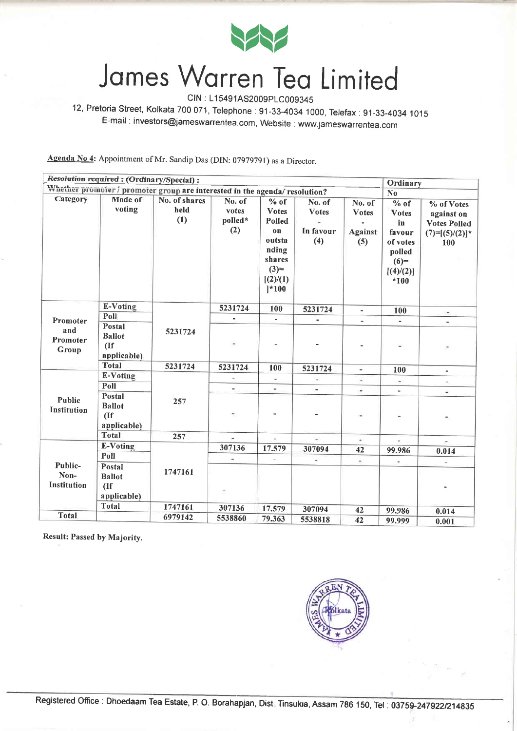

CIN : L15491AS2009PLC009345

12, Pretoria Street, Kolkata 700 071, Telephone : 91-33-4034 1000, Telefax: 91-33-4034 <sup>1015</sup> E-mail : investors@jameswarrentea.com, Website : www.jameswarrentea.com

Agenda No 4: Appointment of Mr. Sandip Das (DIN: 07979791) as a Director.

|                                                                             | Resolution required: (Ordinary/Special):         |                              |                                   |                                                                                                                 |                                            |                                                 | Ordinary                                                                                                        |                                                                             |
|-----------------------------------------------------------------------------|--------------------------------------------------|------------------------------|-----------------------------------|-----------------------------------------------------------------------------------------------------------------|--------------------------------------------|-------------------------------------------------|-----------------------------------------------------------------------------------------------------------------|-----------------------------------------------------------------------------|
| Whether promoter / promoter group are interested in the agenda/ resolution? |                                                  |                              |                                   |                                                                                                                 |                                            |                                                 |                                                                                                                 |                                                                             |
| Category                                                                    | Mode of<br>voting                                | No. of shares<br>held<br>(1) | No. of<br>votes<br>polled*<br>(2) | $%$ of<br><b>Votes</b><br>Polled<br>on<br>outsta<br>nding<br>shares<br>$(3)=$<br>[(2)/(1)]<br>$\binom{*100}{*}$ | No. of<br><b>Votes</b><br>In favour<br>(4) | No. of<br><b>Votes</b><br><b>Against</b><br>(5) | N <sub>o</sub><br>$%$ of<br><b>Votes</b><br>in<br>favour<br>of votes<br>polled<br>$(6)=$<br>[(4)/(2)]<br>$*100$ | % of Votes<br>against on<br><b>Votes Polled</b><br>$(7)=[(5)/(2)]$ *<br>100 |
|                                                                             | E-Voting                                         |                              | 5231724                           | 100                                                                                                             | 5231724                                    | $\blacksquare$                                  | 100                                                                                                             | $\blacksquare$                                                              |
| Promoter                                                                    | Poll                                             |                              |                                   | $\blacksquare$                                                                                                  | ä,                                         |                                                 | $\qquad \qquad \blacksquare$                                                                                    | ٠                                                                           |
| and<br>Promoter<br>Group                                                    | Postal<br><b>Ballot</b><br>$($ If<br>applicable) | 5231724                      |                                   |                                                                                                                 |                                            |                                                 | ×                                                                                                               | $\frac{1}{2}$                                                               |
|                                                                             | <b>Total</b>                                     | 5231724                      | 5231724                           | 100                                                                                                             | 5231724                                    | $\blacksquare$                                  | 100                                                                                                             | $\blacksquare$                                                              |
|                                                                             | <b>E-Voting</b>                                  |                              | $\sim$                            | $\omega$                                                                                                        | ÷.                                         | $\overline{\phantom{a}}$                        | $\overline{\phantom{a}}$                                                                                        | $\overline{\phantom{a}}$                                                    |
|                                                                             | Poll                                             |                              | $\sim$                            | $\qquad \qquad \blacksquare$                                                                                    | $\blacksquare$                             | $\overline{\phantom{a}}$                        |                                                                                                                 | $\blacksquare$                                                              |
| Public<br>Institution                                                       | Postal<br><b>Ballot</b><br>(If)<br>applicable)   | 257                          |                                   |                                                                                                                 |                                            |                                                 | ٠                                                                                                               |                                                                             |
|                                                                             | <b>Total</b>                                     | 257                          |                                   | $\tilde{\mathbf{u}}$                                                                                            | $\omega_0$                                 | $\omega$                                        | $\overline{\phantom{a}}$                                                                                        |                                                                             |
|                                                                             | E-Voting                                         |                              | 307136                            | 17.579                                                                                                          | 307094                                     | 42                                              | 99.986                                                                                                          | 0.014                                                                       |
|                                                                             | Poll                                             |                              |                                   | ×,                                                                                                              |                                            | $\overline{\phantom{a}}$                        | ÷                                                                                                               | $\overline{\phantom{a}}$                                                    |
| Public-<br>Non-<br><b>Institution</b>                                       | Postal<br><b>Ballot</b><br>(<br>applicable)      | 1747161                      |                                   |                                                                                                                 |                                            |                                                 |                                                                                                                 |                                                                             |
|                                                                             | <b>Total</b>                                     | 1747161                      | 307136                            | 17.579                                                                                                          | 307094                                     | 42                                              | 99.986                                                                                                          | 0.014                                                                       |
| <b>Total</b>                                                                |                                                  | 6979142                      | 5538860                           | 79.363                                                                                                          | 5538818                                    | 42                                              | 99.999                                                                                                          | 0.001                                                                       |

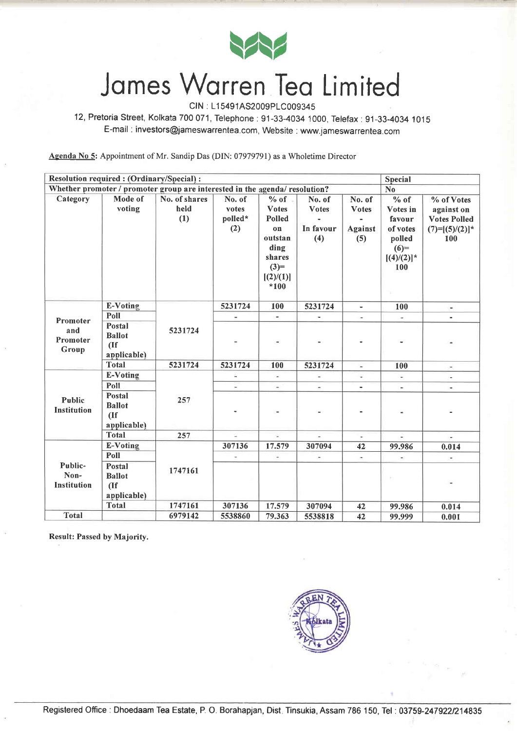

CIN : L1 5491AS2009p1C00934s

12, Pretoria Street, Kolkata 700 071, Telephone: 91-33-4034 1000, Telefax: 91-33-4034 1015 E-mail : investors@jameswarrentea.com, Website : www.jameswarrentea.com

Agenda No 5: Appointment of Mr. Sandip Das (DIN: 07979791) as a Wholetime Director

|                                                                                   | Resolution required : (Ordinary/Special) :<br><b>Special</b> |                              |                                   |                                                                                                          |                                            |                                          |                                                                                    |                                                                            |
|-----------------------------------------------------------------------------------|--------------------------------------------------------------|------------------------------|-----------------------------------|----------------------------------------------------------------------------------------------------------|--------------------------------------------|------------------------------------------|------------------------------------------------------------------------------------|----------------------------------------------------------------------------|
| Whether promoter / promoter group are interested in the agenda/ resolution?<br>No |                                                              |                              |                                   |                                                                                                          |                                            |                                          |                                                                                    |                                                                            |
| Category                                                                          | Mode of<br>voting                                            | No. of shares<br>held<br>(1) | No. of<br>votes<br>polled*<br>(2) | $%$ of $.$<br><b>Votes</b><br>Polled<br>on<br>outstan<br>ding<br>shares<br>$(3)=$<br>[(2)/(1)]<br>$*100$ | No. of<br><b>Votes</b><br>In favour<br>(4) | No. of<br><b>Votes</b><br>Against<br>(5) | % of<br>Votes in<br>favour<br>of votes<br>polled<br>$(6)=$<br>$[(4)/(2)]^*$<br>100 | % of Votes<br>against on<br><b>Votes Polled</b><br>$(7)=[(5)/(2)]*$<br>100 |
|                                                                                   | <b>E-Voting</b>                                              |                              | 5231724                           | 100                                                                                                      | 5231724                                    | ÷                                        | 100                                                                                | $\overline{\phantom{a}}$                                                   |
| Promoter                                                                          | Poll                                                         |                              |                                   |                                                                                                          |                                            | ×                                        | $\overline{\phantom{a}}$                                                           |                                                                            |
| and<br>Promoter<br>Group                                                          | Postal<br><b>Ballot</b><br>$($ If<br>applicable)             | 5231724                      |                                   |                                                                                                          |                                            |                                          |                                                                                    |                                                                            |
|                                                                                   | <b>Total</b>                                                 | 5231724                      | 5231724                           | 100                                                                                                      | 5231724                                    | $\overline{\phantom{a}}$                 | 100                                                                                | $\blacksquare$                                                             |
|                                                                                   | <b>E-Voting</b>                                              |                              |                                   | u,                                                                                                       |                                            |                                          | ÷.                                                                                 | ×.                                                                         |
|                                                                                   | Poll                                                         |                              | $\overline{\phantom{a}}$          | $\blacksquare$                                                                                           | $\overline{\phantom{a}}$                   | $\blacksquare$                           | $\overline{\phantom{a}}$                                                           | $\blacksquare$                                                             |
| <b>Public</b><br><b>Institution</b>                                               | Postal<br><b>Ballot</b><br>(If)<br>applicable)               | 257                          |                                   |                                                                                                          |                                            |                                          |                                                                                    |                                                                            |
|                                                                                   | <b>Total</b>                                                 | 257                          | ú,                                | ÷                                                                                                        | $\omega$                                   | $\omega$                                 | в                                                                                  | ÷                                                                          |
|                                                                                   | <b>E-Voting</b>                                              |                              | 307136                            | 17.579                                                                                                   | 307094                                     | 42                                       | 99.986                                                                             | 0.014                                                                      |
|                                                                                   | Poll                                                         |                              |                                   | w.                                                                                                       |                                            | e.                                       | $\overline{\phantom{a}}$                                                           |                                                                            |
| Public-<br>Non-<br><b>Institution</b>                                             | Postal<br><b>Ballot</b><br>(If)<br>applicable)               | 1747161                      |                                   |                                                                                                          |                                            |                                          |                                                                                    |                                                                            |
|                                                                                   | <b>Total</b>                                                 | 1747161                      | 307136                            | 17.579                                                                                                   | 307094                                     | 42                                       | 99.986                                                                             | 0.014                                                                      |
| <b>Total</b>                                                                      |                                                              | 6979142                      | 5538860                           | 79.363                                                                                                   | 5538818                                    | 42                                       | 99.999                                                                             | 0.001                                                                      |

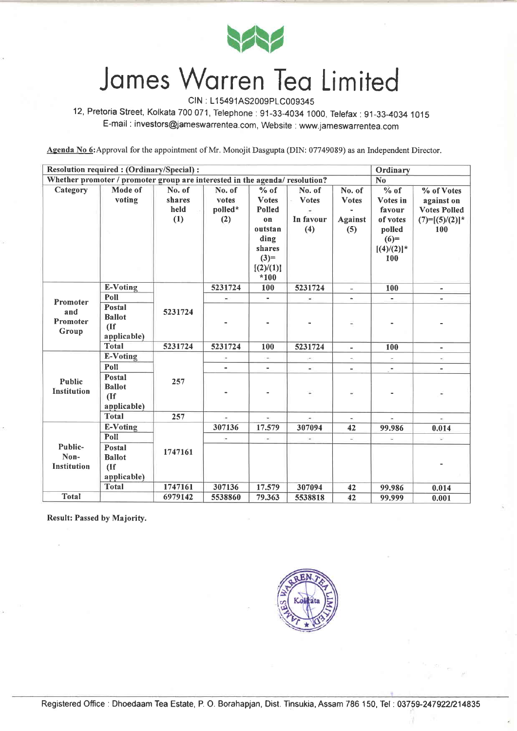

CIN : L1 5491AS2009P1C00934S

12, Pretoria Street, Kolkata 700 071, Telephone: 91-33-4034 1000, Telefax: 91-33-4034 1015 E-mail : investors@jameswarrentea.com, Website : www.jameswarrentea.com

Agenda No 6: Approval for the appointment of Mr. Monojit Dasgupta (DIN: 07749089) as an Independent Director.

| <b>Resolution required: (Ordinary/Special):</b>                             |                                                       |                                 |                                   |                                                                                                                       |                                            |                                                 | Ordinary                                                                                          |                                                                            |
|-----------------------------------------------------------------------------|-------------------------------------------------------|---------------------------------|-----------------------------------|-----------------------------------------------------------------------------------------------------------------------|--------------------------------------------|-------------------------------------------------|---------------------------------------------------------------------------------------------------|----------------------------------------------------------------------------|
| Whether promoter / promoter group are interested in the agenda/ resolution? |                                                       |                                 |                                   |                                                                                                                       |                                            |                                                 | N <sub>o</sub>                                                                                    |                                                                            |
| Category                                                                    | Mode of<br>voting                                     | No. of<br>shares<br>held<br>(1) | No. of<br>votes<br>polled*<br>(2) | % of<br><b>Votes</b><br><b>Polled</b><br>0 <sub>n</sub><br>outstan<br>ding<br>shares<br>$(3)=$<br>[(2)/(1)]<br>$*100$ | No. of<br><b>Votes</b><br>In favour<br>(4) | No. of<br><b>Votes</b><br><b>Against</b><br>(5) | $\overline{0/2}$ of<br>Votes in<br>favour<br>of votes<br>polled<br>$(6)=$<br>$[(4)/(2)]$ *<br>100 | % of Votes<br>against on<br><b>Votes Polled</b><br>$(7)=[(5)/(2)]*$<br>100 |
|                                                                             | E-Voting                                              |                                 | 5231724                           | 100                                                                                                                   | 5231724                                    | $\blacksquare$                                  | 100                                                                                               | $\blacksquare$                                                             |
| Promoter                                                                    | Poll                                                  |                                 | $\rightarrow$                     | $\blacksquare$                                                                                                        | $\blacksquare$                             | $\sim$                                          | $\blacksquare$                                                                                    |                                                                            |
| and<br>Promoter<br>Group                                                    | <b>Postal</b><br><b>Ballot</b><br>(If)<br>applicable) | 5231724                         |                                   |                                                                                                                       |                                            |                                                 |                                                                                                   |                                                                            |
|                                                                             | <b>Total</b>                                          | 5231724                         | 5231724                           | 100                                                                                                                   | 5231724                                    | $\overline{\phantom{a}}$                        | 100                                                                                               | $\overline{\phantom{a}}$                                                   |
|                                                                             | <b>E-Voting</b>                                       |                                 |                                   | ×.                                                                                                                    |                                            |                                                 |                                                                                                   |                                                                            |
|                                                                             | Poll                                                  |                                 |                                   | $\overline{\phantom{0}}$                                                                                              | $\blacksquare$                             | Ŵ.                                              | $\frac{1}{2}$                                                                                     | $\qquad \qquad \blacksquare$                                               |
| Public<br><b>Institution</b>                                                | <b>Postal</b><br><b>Ballot</b><br>(If)<br>applicable) | 257                             |                                   |                                                                                                                       | $\overline{\phantom{a}}$                   |                                                 |                                                                                                   |                                                                            |
|                                                                             | <b>Total</b>                                          | 257                             |                                   | ×,                                                                                                                    | $\rightarrow$                              |                                                 | ä,                                                                                                |                                                                            |
|                                                                             | E-Voting                                              |                                 | 307136                            | 17.579                                                                                                                | 307094                                     | 42                                              | 99.986                                                                                            | 0.014                                                                      |
|                                                                             | Poll                                                  |                                 | ÷                                 | $\overline{\phantom{a}}$                                                                                              | $\rightarrow$                              | $\omega_{\rm i}$                                | ü,                                                                                                | V.                                                                         |
| Public-<br>Non-<br><b>Institution</b>                                       | Postal<br><b>Ballot</b><br>(If)<br>applicable)        | 1747161                         |                                   |                                                                                                                       |                                            |                                                 |                                                                                                   |                                                                            |
|                                                                             | <b>Total</b>                                          | 1747161                         | 307136                            | 17.579                                                                                                                | 307094                                     | 42                                              | 99.986                                                                                            | 0.014                                                                      |
| <b>Total</b>                                                                |                                                       | 6979142                         | 5538860                           | 79.363                                                                                                                | 5538818                                    | 42                                              | 99.999                                                                                            | 0.001                                                                      |

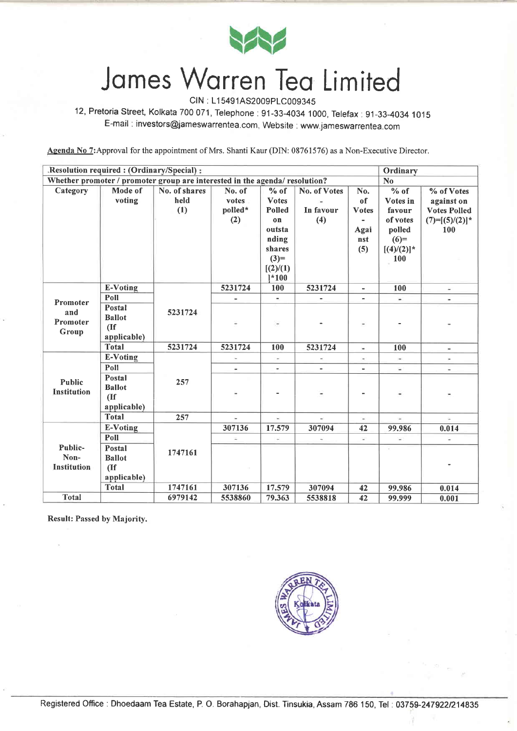

CIN : L1 5491AS2009P1C009345

12, Pretoria Street, Kolkata 700071, Telephone:91-33-4034 1000, Telefax:91-33-4034 <sup>1015</sup> E-mail : investors@jameswarrentea.com, Website : www.jameswarrentea.com

Agenda No 7: Approval for the appointment of Mrs. Shanti Kaur (DIN: 08761576) as a Non-Executive Director.

|                                                                                               | .Resolution required : (Ordinary/Special) :<br>Ordinary |               |         |                          |                              |                          |                                                                                                                                                                                                                                                                                                                                                                                                                                                                            |                          |
|-----------------------------------------------------------------------------------------------|---------------------------------------------------------|---------------|---------|--------------------------|------------------------------|--------------------------|----------------------------------------------------------------------------------------------------------------------------------------------------------------------------------------------------------------------------------------------------------------------------------------------------------------------------------------------------------------------------------------------------------------------------------------------------------------------------|--------------------------|
| Whether promoter / promoter group are interested in the agenda/ resolution?<br>N <sub>o</sub> |                                                         |               |         |                          |                              |                          |                                                                                                                                                                                                                                                                                                                                                                                                                                                                            |                          |
| Category                                                                                      | Mode of                                                 | No. of shares | No. of  | $%$ of                   | No. of Votes                 | No.                      | % of                                                                                                                                                                                                                                                                                                                                                                                                                                                                       | % of Votes               |
|                                                                                               | voting                                                  | held          | votes   | <b>Votes</b>             |                              | of                       | Votes in                                                                                                                                                                                                                                                                                                                                                                                                                                                                   | against on               |
|                                                                                               |                                                         | (1)           | polled* | <b>Polled</b>            | In favour                    | <b>Votes</b>             | favour                                                                                                                                                                                                                                                                                                                                                                                                                                                                     | <b>Votes Polled</b>      |
|                                                                                               |                                                         |               | (2)     | $\mathbf{0}$             | (4)                          |                          | of votes                                                                                                                                                                                                                                                                                                                                                                                                                                                                   | $(7)=[(5)/(2)]*$         |
|                                                                                               |                                                         |               |         | outsta                   |                              | Agai                     | polled                                                                                                                                                                                                                                                                                                                                                                                                                                                                     | 100                      |
|                                                                                               |                                                         |               |         | nding                    |                              | nst                      | $(6)=$                                                                                                                                                                                                                                                                                                                                                                                                                                                                     |                          |
|                                                                                               |                                                         |               |         | shares                   |                              | (5)                      | $[(4)/(2)]^*$                                                                                                                                                                                                                                                                                                                                                                                                                                                              |                          |
|                                                                                               |                                                         |               |         | $(3)=$                   |                              |                          | 100                                                                                                                                                                                                                                                                                                                                                                                                                                                                        |                          |
|                                                                                               |                                                         |               |         | [(2)/(1)]                |                              |                          |                                                                                                                                                                                                                                                                                                                                                                                                                                                                            |                          |
|                                                                                               |                                                         |               |         | $1*100$                  |                              |                          |                                                                                                                                                                                                                                                                                                                                                                                                                                                                            |                          |
|                                                                                               | E-Voting                                                |               | 5231724 | 100                      | 5231724                      | $\overline{\phantom{a}}$ | 100                                                                                                                                                                                                                                                                                                                                                                                                                                                                        | $\overline{\phantom{a}}$ |
| Promoter                                                                                      | Poll                                                    |               | ٠       | $\sim$                   | $\qquad \qquad \blacksquare$ | $\blacksquare$           | W)                                                                                                                                                                                                                                                                                                                                                                                                                                                                         |                          |
| and                                                                                           | Postal                                                  | 5231724       |         |                          |                              |                          |                                                                                                                                                                                                                                                                                                                                                                                                                                                                            |                          |
| Promoter                                                                                      | <b>Ballot</b>                                           |               |         |                          |                              |                          |                                                                                                                                                                                                                                                                                                                                                                                                                                                                            |                          |
| Group                                                                                         | (If)                                                    |               |         |                          |                              |                          |                                                                                                                                                                                                                                                                                                                                                                                                                                                                            |                          |
|                                                                                               | applicable)                                             |               |         |                          |                              |                          |                                                                                                                                                                                                                                                                                                                                                                                                                                                                            |                          |
|                                                                                               | <b>Total</b>                                            | 5231724       | 5231724 | 100                      | 5231724                      | $\blacksquare$           | 100                                                                                                                                                                                                                                                                                                                                                                                                                                                                        | $\blacksquare$           |
|                                                                                               | <b>E-Voting</b>                                         |               |         | $\overline{\phantom{a}}$ |                              | $\blacksquare$           | $\omega$                                                                                                                                                                                                                                                                                                                                                                                                                                                                   |                          |
|                                                                                               | Poll                                                    |               | à.      | ÷.                       |                              | $\overline{\phantom{0}}$ | $\omega$                                                                                                                                                                                                                                                                                                                                                                                                                                                                   | $\overline{\phantom{a}}$ |
| <b>Public</b>                                                                                 | Postal                                                  | 257           |         |                          |                              |                          |                                                                                                                                                                                                                                                                                                                                                                                                                                                                            |                          |
| Institution                                                                                   | <b>Ballot</b>                                           |               |         |                          | $\frac{1}{2}$                |                          | $\frac{1}{2} \left( \frac{1}{2} \right) \left( \frac{1}{2} \right) \left( \frac{1}{2} \right) \left( \frac{1}{2} \right) \left( \frac{1}{2} \right) \left( \frac{1}{2} \right) \left( \frac{1}{2} \right) \left( \frac{1}{2} \right) \left( \frac{1}{2} \right) \left( \frac{1}{2} \right) \left( \frac{1}{2} \right) \left( \frac{1}{2} \right) \left( \frac{1}{2} \right) \left( \frac{1}{2} \right) \left( \frac{1}{2} \right) \left( \frac{1}{2} \right) \left( \frac$ |                          |
|                                                                                               | (If)                                                    |               |         |                          |                              |                          |                                                                                                                                                                                                                                                                                                                                                                                                                                                                            | ٠                        |
|                                                                                               | applicable)                                             |               |         |                          |                              |                          |                                                                                                                                                                                                                                                                                                                                                                                                                                                                            |                          |
|                                                                                               | <b>Total</b>                                            | 257           |         | à.                       | à.                           | $\sim$                   | Ŵ.                                                                                                                                                                                                                                                                                                                                                                                                                                                                         | C.                       |
|                                                                                               | E-Voting                                                |               | 307136  | 17.579                   | 307094                       | 42                       | 99.986                                                                                                                                                                                                                                                                                                                                                                                                                                                                     | 0.014                    |
|                                                                                               | Poll                                                    |               | i,      | $\sim$                   | ήf,                          | ¥.                       | $\omega$                                                                                                                                                                                                                                                                                                                                                                                                                                                                   | ÷.                       |
| Public-                                                                                       | Postal                                                  | 1747161       |         |                          |                              |                          |                                                                                                                                                                                                                                                                                                                                                                                                                                                                            |                          |
| Non-<br><b>Institution</b>                                                                    | <b>Ballot</b>                                           |               |         |                          |                              |                          |                                                                                                                                                                                                                                                                                                                                                                                                                                                                            |                          |
|                                                                                               | (                                                       |               |         |                          |                              |                          |                                                                                                                                                                                                                                                                                                                                                                                                                                                                            |                          |
|                                                                                               | applicable)                                             |               |         |                          |                              |                          |                                                                                                                                                                                                                                                                                                                                                                                                                                                                            |                          |
|                                                                                               | <b>Total</b>                                            | 1747161       | 307136  | 17.579                   | 307094                       | 42                       | 99.986                                                                                                                                                                                                                                                                                                                                                                                                                                                                     | 0.014                    |
| <b>Total</b>                                                                                  |                                                         | 6979142       | 5538860 | 79.363                   | 5538818                      | 42                       | 99.999                                                                                                                                                                                                                                                                                                                                                                                                                                                                     | 0.001                    |